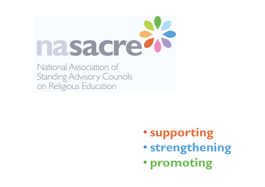

National Association of **Standing Advisory Councils** on Religious Education

- **supporting**
- **strengthening**
- **promoting**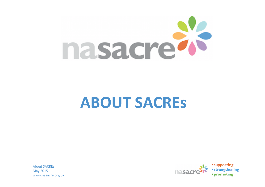

## **ABOUT SACRES**

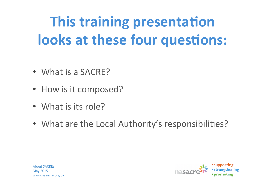# **This training presentation looks at these four questions:**

- What is a SACRE?
- How is it composed?
- What is its role?
- What are the Local Authority's responsibilities?



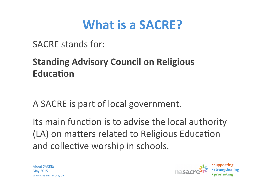#### **What is a SACRE?**

SACRE stands for:

#### **Standing Advisory Council on Religious Education**

A SACRE is part of local government.

Its main function is to advise the local authority (LA) on matters related to Religious Education and collective worship in schools.

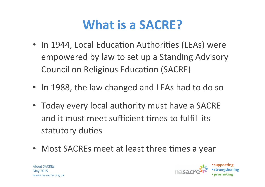#### **What is a SACRE?**

- In 1944, Local Education Authorities (LEAs) were empowered by law to set up a Standing Advisory Council on Religious Education (SACRE)
- In 1988, the law changed and LEAs had to do so
- Today every local authority must have a SACRE and it must meet sufficient times to fulfil its statutory duties
- Most SACREs meet at least three times a year



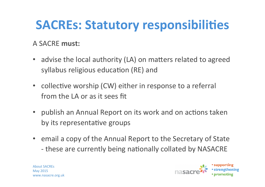#### A SACRF must:

- advise the local authority (LA) on matters related to agreed syllabus religious education (RE) and
- collective worship (CW) either in response to a referral from the LA or as it sees fit
- publish an Annual Report on its work and on actions taken by its representative groups
- email a copy of the Annual Report to the Secretary of State - these are currently being nationally collated by NASACRE

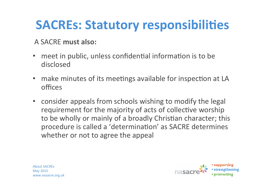#### A SACRE must also:

- meet in public, unless confidential information is to be disclosed
- make minutes of its meetings available for inspection at LA offices
- consider appeals from schools wishing to modify the legal requirement for the majority of acts of collective worship to be wholly or mainly of a broadly Christian character; this procedure is called a 'determination' as SACRE determines whether or not to agree the appeal



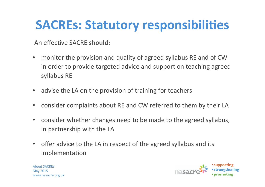An effective SACRE **should:** 

- monitor the provision and quality of agreed syllabus RE and of CW in order to provide targeted advice and support on teaching agreed syllabus RE
- advise the LA on the provision of training for teachers
- consider complaints about RE and CW referred to them by their LA
- consider whether changes need to be made to the agreed syllabus, in partnership with the LA
- offer advice to the LA in respect of the agreed syllabus and its implementation

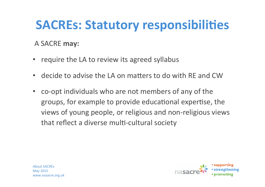#### A SACRE may:

- require the LA to review its agreed syllabus
- decide to advise the LA on matters to do with RE and CW
- co-opt individuals who are not members of any of the groups, for example to provide educational expertise, the views of young people, or religious and non-religious views that reflect a diverse multi-cultural society

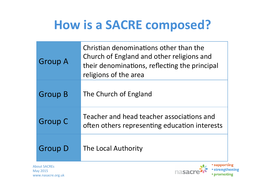### **How is a SACRE composed?**

|                     | <b>Group A</b> | Christian denominations other than the<br>Church of England and other religions and<br>their denominations, reflecting the principal<br>religions of the area |  |
|---------------------|----------------|---------------------------------------------------------------------------------------------------------------------------------------------------------------|--|
|                     | <b>Group B</b> | The Church of England                                                                                                                                         |  |
|                     | <b>Group C</b> | Teacher and head teacher associations and<br>often others representing education interests                                                                    |  |
|                     | <b>Group D</b> | The Local Authority                                                                                                                                           |  |
| <b>About SACRES</b> |                |                                                                                                                                                               |  |

May 2015 www.nasacre.org.uk

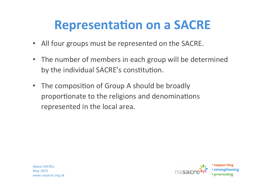#### **Representation on a SACRE**

- All four groups must be represented on the SACRE.
- The number of members in each group will be determined by the individual SACRE's constitution.
- The composition of Group A should be broadly proportionate to the religions and denominations represented in the local area.

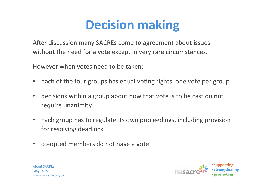### **Decision making**

After discussion many SACREs come to agreement about issues without the need for a vote except in very rare circumstances.

However when votes need to be taken:

- each of the four groups has equal voting rights: one vote per group
- decisions within a group about how that vote is to be cast do not require unanimity
- Each group has to regulate its own proceedings, including provision for resolving deadlock
- co-opted members do not have a vote

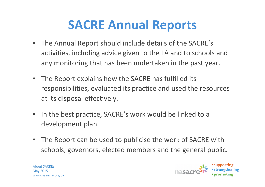#### **SACRE Annual Reports**

- The Annual Report should include details of the SACRE's activities, including advice given to the LA and to schools and any monitoring that has been undertaken in the past year.
- The Report explains how the SACRE has fulfilled its responsibilities, evaluated its practice and used the resources at its disposal effectively.
- In the best practice, SACRE's work would be linked to a development plan.
- The Report can be used to publicise the work of SACRE with schools, governors, elected members and the general public.

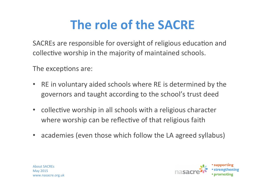## **The role of the SACRE**

SACREs are responsible for oversight of religious education and collective worship in the majority of maintained schools.

The exceptions are:

- RE in voluntary aided schools where RE is determined by the governors and taught according to the school's trust deed
- collective worship in all schools with a religious character where worship can be reflective of that religious faith
- academies (even those which follow the LA agreed syllabus)



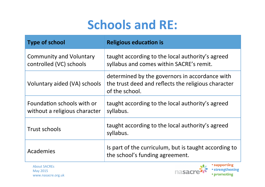## **Schools and RE:**

| <b>Type of school</b>                                       | <b>Religious education is</b>                                                                                           |
|-------------------------------------------------------------|-------------------------------------------------------------------------------------------------------------------------|
| <b>Community and Voluntary</b><br>controlled (VC) schools   | taught according to the local authority's agreed<br>syllabus and comes within SACRE's remit.                            |
| Voluntary aided (VA) schools                                | determined by the governors in accordance with<br>the trust deed and reflects the religious character<br>of the school. |
| Foundation schools with or<br>without a religious character | taught according to the local authority's agreed<br>syllabus.                                                           |
| Trust schools                                               | taught according to the local authority's agreed<br>syllabus.                                                           |
| Academies                                                   | Is part of the curriculum, but is taught according to<br>the school's funding agreement.                                |



**• supporting** · strengthening • promoting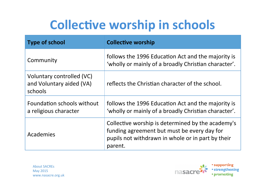## **Collective worship in schools**

| <b>Type of school</b>                                            | <b>Collective worship</b>                                                                                                                                        |
|------------------------------------------------------------------|------------------------------------------------------------------------------------------------------------------------------------------------------------------|
| Community                                                        | follows the 1996 Education Act and the majority is<br>'wholly or mainly of a broadly Christian character'.                                                       |
| Voluntary controlled (VC)<br>and Voluntary aided (VA)<br>schools | reflects the Christian character of the school.                                                                                                                  |
| Foundation schools without<br>a religious character              | follows the 1996 Education Act and the majority is<br>'wholly or mainly of a broadly Christian character'.                                                       |
| Academies                                                        | Collective worship is determined by the academy's<br>funding agreement but must be every day for<br>pupils not withdrawn in whole or in part by their<br>parent. |

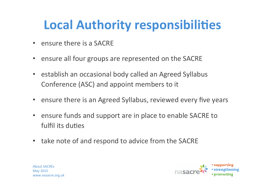### **Local Authority responsibilities**

- $\cdot$  ensure there is a SACRE
- ensure all four groups are represented on the SACRE
- establish an occasional body called an Agreed Syllabus Conference (ASC) and appoint members to it
- ensure there is an Agreed Syllabus, reviewed every five years
- ensure funds and support are in place to enable SACRE to fulfil its duties
- take note of and respond to advice from the SACRE

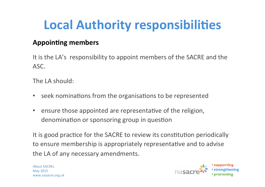## **Local Authority responsibilities**

#### **Appoin5ng members**

It is the LA's responsibility to appoint members of the SACRE and the ASC. 

The  $IA$  should:

- seek nominations from the organisations to be represented
- ensure those appointed are representative of the religion, denomination or sponsoring group in question

It is good practice for the SACRE to review its constitution periodically to ensure membership is appropriately representative and to advise the LA of any necessary amendments.